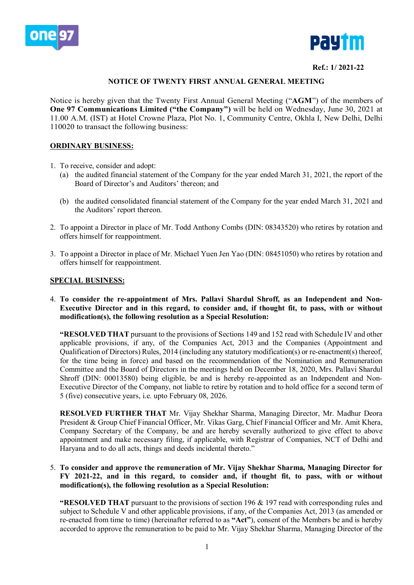



#### **Ref.: 1/ 2021-22**

### **NOTICE OF TWENTY FIRST ANNUAL GENERAL MEETING**

Notice is hereby given that the Twenty First Annual General Meeting ("**AGM**") of the members of **One 97 Communications Limited ("the Company")** will be held on Wednesday, June 30, 2021 at 11.00 A.M. (IST) at Hotel Crowne Plaza, Plot No. 1, Community Centre, Okhla I, New Delhi, Delhi 110020 to transact the following business:

#### **ORDINARY BUSINESS:**

- 1. To receive, consider and adopt:
	- (a) the audited financial statement of the Company for the year ended March 31, 2021, the report of the Board of Director's and Auditors' thereon; and
	- (b) the audited consolidated financial statement of the Company for the year ended March 31, 2021 and the Auditors' report thereon.
- 2. To appoint a Director in place of Mr. Todd Anthony Combs (DIN: 08343520) who retires by rotation and offers himself for reappointment.
- 3. To appoint a Director in place of Mr. Michael Yuen Jen Yao (DIN: 08451050) who retires by rotation and offers himself for reappointment.

#### **SPECIAL BUSINESS:**

4. **To consider the re-appointment of Mrs. Pallavi Shardul Shroff, as an Independent and Non-Executive Director and in this regard, to consider and, if thought fit, to pass, with or without modification(s), the following resolution as a Special Resolution:**

**"RESOLVED THAT** pursuant to the provisions of Sections 149 and 152 read with Schedule IV and other applicable provisions, if any, of the Companies Act, 2013 and the Companies (Appointment and Qualification of Directors) Rules, 2014 (including any statutory modification(s) or re-enactment(s) thereof, for the time being in force) and based on the recommendation of the Nomination and Remuneration Committee and the Board of Directors in the meetings held on December 18, 2020, Mrs. Pallavi Shardul Shroff (DIN: 00013580) being eligible, be and is hereby re-appointed as an Independent and Non-Executive Director of the Company, not liable to retire by rotation and to hold office for a second term of 5 (five) consecutive years, i.e. upto February 08, 2026.

**RESOLVED FURTHER THAT** Mr. Vijay Shekhar Sharma, Managing Director, Mr. Madhur Deora President & Group Chief Financial Officer, Mr. Vikas Garg, Chief Financial Officer and Mr. Amit Khera, Company Secretary of the Company, be and are hereby severally authorized to give effect to above appointment and make necessary filing, if applicable, with Registrar of Companies, NCT of Delhi and Haryana and to do all acts, things and deeds incidental thereto."

### 5. **To consider and approve the remuneration of Mr. Vijay Shekhar Sharma, Managing Director for FY 2021-22, and in this regard, to consider and, if thought fit, to pass, with or without modification(s), the following resolution as a Special Resolution:**

**"RESOLVED THAT** pursuant to the provisions of section 196 & 197 read with corresponding rules and subject to Schedule V and other applicable provisions, if any, of the Companies Act, 2013 (as amended or re-enacted from time to time) (hereinafter referred to as **"Act"**), consent of the Members be and is hereby accorded to approve the remuneration to be paid to Mr. Vijay Shekhar Sharma, Managing Director of the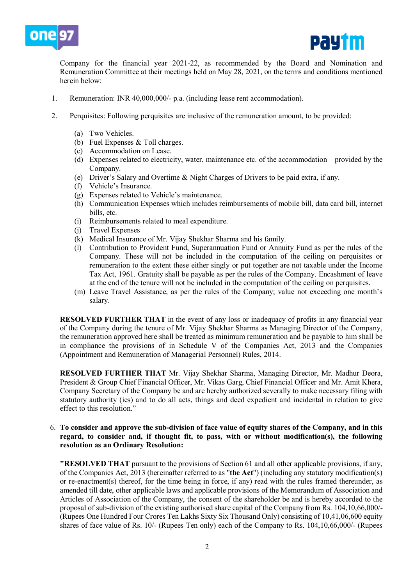



Company for the financial year 2021-22, as recommended by the Board and Nomination and Remuneration Committee at their meetings held on May 28, 2021, on the terms and conditions mentioned herein below:

- 1. Remuneration: INR 40,000,000/- p.a. (including lease rent accommodation).
- 2. Perquisites: Following perquisites are inclusive of the remuneration amount, to be provided:
	- (a) Two Vehicles.
	- (b) Fuel Expenses & Toll charges.
	- (c) Accommodation on Lease.
	- (d) Expenses related to electricity, water, maintenance etc. of the accommodation provided by the Company.
	- (e) Driver's Salary and Overtime & Night Charges of Drivers to be paid extra, if any.
	- (f) Vehicle's Insurance.
	- (g) Expenses related to Vehicle's maintenance.
	- (h) Communication Expenses which includes reimbursements of mobile bill, data card bill, internet bills, etc.
	- (i) Reimbursements related to meal expenditure.
	- (j) Travel Expenses
	- (k) Medical Insurance of Mr. Vijay Shekhar Sharma and his family.
	- (l) Contribution to Provident Fund, Superannuation Fund or Annuity Fund as per the rules of the Company. These will not be included in the computation of the ceiling on perquisites or remuneration to the extent these either singly or put together are not taxable under the Income Tax Act, 1961. Gratuity shall be payable as per the rules of the Company. Encashment of leave at the end of the tenure will not be included in the computation of the ceiling on perquisites.
	- (m) Leave Travel Assistance, as per the rules of the Company; value not exceeding one month's salary.

**RESOLVED FURTHER THAT** in the event of any loss or inadequacy of profits in any financial year of the Company during the tenure of Mr. Vijay Shekhar Sharma as Managing Director of the Company, the remuneration approved here shall be treated as minimum remuneration and be payable to him shall be in compliance the provisions of in Schedule V of the Companies Act, 2013 and the Companies (Appointment and Remuneration of Managerial Personnel) Rules, 2014.

**RESOLVED FURTHER THAT** Mr. Vijay Shekhar Sharma, Managing Director, Mr. Madhur Deora, President & Group Chief Financial Officer, Mr. Vikas Garg, Chief Financial Officer and Mr. Amit Khera, Company Secretary of the Company be and are hereby authorized severally to make necessary filing with statutory authority (ies) and to do all acts, things and deed expedient and incidental in relation to give effect to this resolution."

#### 6. **To consider and approve the sub-division of face value of equity shares of the Company, and in this regard, to consider and, if thought fit, to pass, with or without modification(s), the following resolution as an Ordinary Resolution:**

**"RESOLVED THAT** pursuant to the provisions of Section 61 and all other applicable provisions, if any, of the Companies Act, 2013 (hereinafter referred to as "**the Act**") (including any statutory modification(s) or re-enactment(s) thereof, for the time being in force, if any) read with the rules framed thereunder, as amended till date, other applicable laws and applicable provisions of the Memorandum of Association and Articles of Association of the Company, the consent of the shareholder be and is hereby accorded to the proposal of sub-division of the existing authorised share capital of the Company from Rs. 104,10,66,000/- (Rupees One Hundred Four Crores Ten Lakhs Sixty Six Thousand Only) consisting of 10,41,06,600 equity shares of face value of Rs. 10/- (Rupees Ten only) each of the Company to Rs. 104,10,66,000/- (Rupees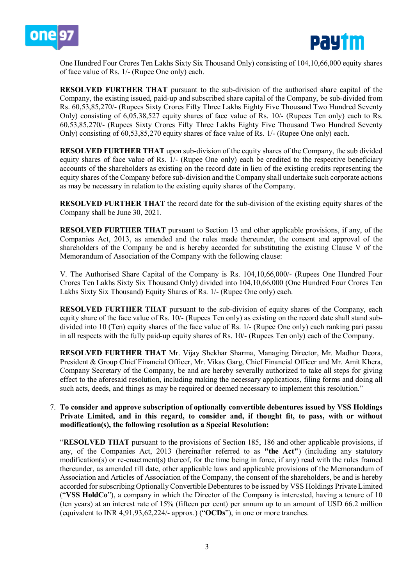



One Hundred Four Crores Ten Lakhs Sixty Six Thousand Only) consisting of 104,10,66,000 equity shares of face value of Rs. 1/- (Rupee One only) each.

**RESOLVED FURTHER THAT** pursuant to the sub-division of the authorised share capital of the Company, the existing issued, paid-up and subscribed share capital of the Company, be sub-divided from Rs. 60,53,85,270/- (Rupees Sixty Crores Fifty Three Lakhs Eighty Five Thousand Two Hundred Seventy Only) consisting of 6,05,38,527 equity shares of face value of Rs. 10/- (Rupees Ten only) each to Rs. 60,53,85,270/- (Rupees Sixty Crores Fifty Three Lakhs Eighty Five Thousand Two Hundred Seventy Only) consisting of 60,53,85,270 equity shares of face value of Rs. 1/- (Rupee One only) each.

**RESOLVED FURTHER THAT** upon sub-division of the equity shares of the Company, the sub divided equity shares of face value of Rs. 1/- (Rupee One only) each be credited to the respective beneficiary accounts of the shareholders as existing on the record date in lieu of the existing credits representing the equity shares of the Company before sub-division and the Company shall undertake such corporate actions as may be necessary in relation to the existing equity shares of the Company.

**RESOLVED FURTHER THAT** the record date for the sub-division of the existing equity shares of the Company shall be June 30, 2021.

**RESOLVED FURTHER THAT** pursuant to Section 13 and other applicable provisions, if any, of the Companies Act, 2013, as amended and the rules made thereunder, the consent and approval of the shareholders of the Company be and is hereby accorded for substituting the existing Clause V of the Memorandum of Association of the Company with the following clause:

V. The Authorised Share Capital of the Company is Rs. 104,10,66,000/- (Rupees One Hundred Four Crores Ten Lakhs Sixty Six Thousand Only) divided into 104,10,66,000 (One Hundred Four Crores Ten Lakhs Sixty Six Thousand) Equity Shares of Rs. 1/- (Rupee One only) each.

**RESOLVED FURTHER THAT** pursuant to the sub-division of equity shares of the Company, each equity share of the face value of Rs. 10/- (Rupees Ten only) as existing on the record date shall stand subdivided into 10 (Ten) equity shares of the face value of Rs. 1/- (Rupee One only) each ranking pari passu in all respects with the fully paid-up equity shares of Rs. 10/- (Rupees Ten only) each of the Company.

**RESOLVED FURTHER THAT** Mr. Vijay Shekhar Sharma, Managing Director, Mr. Madhur Deora, President & Group Chief Financial Officer, Mr. Vikas Garg, Chief Financial Officer and Mr. Amit Khera, Company Secretary of the Company, be and are hereby severally authorized to take all steps for giving effect to the aforesaid resolution, including making the necessary applications, filing forms and doing all such acts, deeds, and things as may be required or deemed necessary to implement this resolution."

### 7. **To consider and approve subscription of optionally convertible debentures issued by VSS Holdings Private Limited, and in this regard, to consider and, if thought fit, to pass, with or without modification(s), the following resolution as a Special Resolution:**

"**RESOLVED THAT** pursuant to the provisions of Section 185, 186 and other applicable provisions, if any, of the Companies Act, 2013 (hereinafter referred to as **"the Act"**) (including any statutory modification(s) or re-enactment(s) thereof, for the time being in force, if any) read with the rules framed thereunder, as amended till date, other applicable laws and applicable provisions of the Memorandum of Association and Articles of Association of the Company, the consent of the shareholders, be and is hereby accorded for subscribing Optionally Convertible Debentures to be issued by VSS Holdings Private Limited ("**VSS HoldCo**"), a company in which the Director of the Company is interested, having a tenure of 10 (ten years) at an interest rate of 15% (fifteen per cent) per annum up to an amount of USD 66.2 million (equivalent to INR 4,91,93,62,224/- approx.) ("**OCDs**"), in one or more tranches.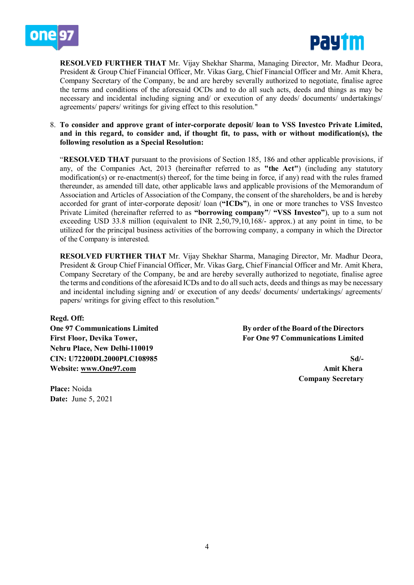



**RESOLVED FURTHER THAT** Mr. Vijay Shekhar Sharma, Managing Director, Mr. Madhur Deora, President & Group Chief Financial Officer, Mr. Vikas Garg, Chief Financial Officer and Mr. Amit Khera, Company Secretary of the Company, be and are hereby severally authorized to negotiate, finalise agree the terms and conditions of the aforesaid OCDs and to do all such acts, deeds and things as may be necessary and incidental including signing and/ or execution of any deeds/ documents/ undertakings/ agreements/ papers/ writings for giving effect to this resolution."

#### 8. **To consider and approve grant of inter-corporate deposit/ loan to VSS Investco Private Limited, and in this regard, to consider and, if thought fit, to pass, with or without modification(s), the following resolution as a Special Resolution:**

"**RESOLVED THAT** pursuant to the provisions of Section 185, 186 and other applicable provisions, if any, of the Companies Act, 2013 (hereinafter referred to as **"the Act"**) (including any statutory modification(s) or re-enactment(s) thereof, for the time being in force, if any) read with the rules framed thereunder, as amended till date, other applicable laws and applicable provisions of the Memorandum of Association and Articles of Association of the Company, the consent of the shareholders, be and is hereby accorded for grant of inter-corporate deposit/ loan (**"ICDs"**), in one or more tranches to VSS Investco Private Limited (hereinafter referred to as **"borrowing company"**/ **"VSS Investco"**), up to a sum not exceeding USD 33.8 million (equivalent to INR 2,50,79,10,168/- approx.) at any point in time, to be utilized for the principal business activities of the borrowing company, a company in which the Director of the Company is interested.

**RESOLVED FURTHER THAT** Mr. Vijay Shekhar Sharma, Managing Director, Mr. Madhur Deora, President & Group Chief Financial Officer, Mr. Vikas Garg, Chief Financial Officer and Mr. Amit Khera, Company Secretary of the Company, be and are hereby severally authorized to negotiate, finalise agree the terms and conditions of the aforesaid ICDs and to do all such acts, deeds and things as may be necessary and incidental including signing and/ or execution of any deeds/ documents/ undertakings/ agreements/ papers/ writings for giving effect to this resolution."

**Regd. Off:** 

**Nehru Place, New Delhi-110019 CIN: U72200DL2000PLC108985 Sd/- Website: [www.One97.com](http://www.one97.com/) Amit Khera**

**Place:** Noida **Date:** June 5, 2021

**One 97 Communications Limited By order of the Board of the Directors** First Floor, Devika Tower, **First Floor, Devika Tower**, **For One 97 Communications Limited** 

**Company Secretary**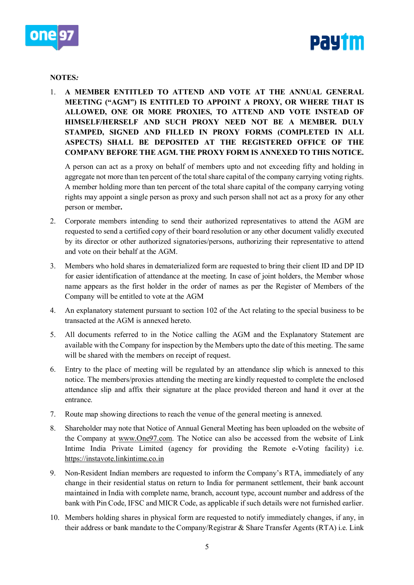



### **NOTES***:*

1. **A MEMBER ENTITLED TO ATTEND AND VOTE AT THE ANNUAL GENERAL MEETING ("AGM") IS ENTITLED TO APPOINT A PROXY, OR WHERE THAT IS ALLOWED, ONE OR MORE PROXIES, TO ATTEND AND VOTE INSTEAD OF HIMSELF/HERSELF AND SUCH PROXY NEED NOT BE A MEMBER. DULY STAMPED, SIGNED AND FILLED IN PROXY FORMS (COMPLETED IN ALL ASPECTS) SHALL BE DEPOSITED AT THE REGISTERED OFFICE OF THE COMPANY BEFORE THE AGM. THE PROXY FORM IS ANNEXED TO THIS NOTICE.**

A person can act as a proxy on behalf of members upto and not exceeding fifty and holding in aggregate not more than ten percent of the total share capital of the company carrying voting rights. A member holding more than ten percent of the total share capital of the company carrying voting rights may appoint a single person as proxy and such person shall not act as a proxy for any other person or member**.**

- 2. Corporate members intending to send their authorized representatives to attend the AGM are requested to send a certified copy of their board resolution or any other document validly executed by its director or other authorized signatories/persons, authorizing their representative to attend and vote on their behalf at the AGM.
- 3. Members who hold shares in dematerialized form are requested to bring their client ID and DP ID for easier identification of attendance at the meeting. In case of joint holders, the Member whose name appears as the first holder in the order of names as per the Register of Members of the Company will be entitled to vote at the AGM
- 4. An explanatory statement pursuant to section 102 of the Act relating to the special business to be transacted at the AGM is annexed hereto.
- 5. All documents referred to in the Notice calling the AGM and the Explanatory Statement are available with the Company for inspection by the Members upto the date of this meeting. The same will be shared with the members on receipt of request.
- 6. Entry to the place of meeting will be regulated by an attendance slip which is annexed to this notice. The members/proxies attending the meeting are kindly requested to complete the enclosed attendance slip and affix their signature at the place provided thereon and hand it over at the entrance.
- 7. Route map showing directions to reach the venue of the general meeting is annexed.
- 8. Shareholder may note that Notice of Annual General Meeting has been uploaded on the website of the Company at [www.One97.com.](http://www.one97.com/) The Notice can also be accessed from the website of Link Intime India Private Limited (agency for providing the Remote e-Voting facility) i.e. [https://instavote.linkintime.co.in](https://instavote.linkintime.co.in/)
- 9. Non-Resident Indian members are requested to inform the Company's RTA, immediately of any change in their residential status on return to India for permanent settlement, their bank account maintained in India with complete name, branch, account type, account number and address of the bank with Pin Code, IFSC and MICR Code, as applicable if such details were not furnished earlier.
- 10. Members holding shares in physical form are requested to notify immediately changes, if any, in their address or bank mandate to the Company/Registrar & Share Transfer Agents (RTA) i.e. Link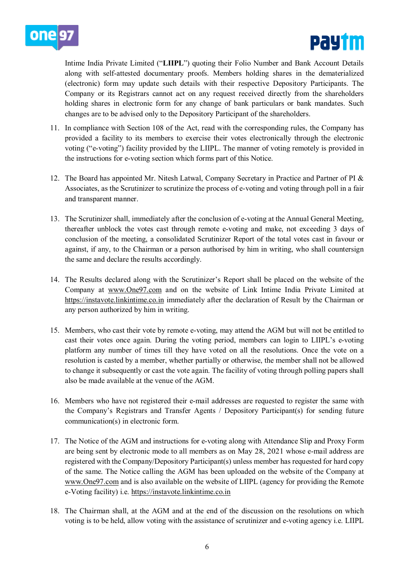



Intime India Private Limited ("**LIIPL**") quoting their Folio Number and Bank Account Details along with self-attested documentary proofs. Members holding shares in the dematerialized (electronic) form may update such details with their respective Depository Participants. The Company or its Registrars cannot act on any request received directly from the shareholders holding shares in electronic form for any change of bank particulars or bank mandates. Such changes are to be advised only to the Depository Participant of the shareholders.

- 11. In compliance with Section 108 of the Act, read with the corresponding rules, the Company has provided a facility to its members to exercise their votes electronically through the electronic voting ("e-voting") facility provided by the LIIPL. The manner of voting remotely is provided in the instructions for e-voting section which forms part of this Notice.
- 12. The Board has appointed Mr. Nitesh Latwal, Company Secretary in Practice and Partner of PI & Associates, as the Scrutinizer to scrutinize the process of e-voting and voting through poll in a fair and transparent manner.
- 13. The Scrutinizer shall, immediately after the conclusion of e-voting at the Annual General Meeting, thereafter unblock the votes cast through remote e-voting and make, not exceeding 3 days of conclusion of the meeting, a consolidated Scrutinizer Report of the total votes cast in favour or against, if any, to the Chairman or a person authorised by him in writing, who shall countersign the same and declare the results accordingly.
- 14. The Results declared along with the Scrutinizer's Report shall be placed on the website of the Company at [www.One97.com](http://www.one97.com/) and on the website of Link Intime India Private Limited at [https://instavote.linkintime.co.in](https://instavote.linkintime.co.in/) immediately after the declaration of Result by the Chairman or any person authorized by him in writing.
- 15. Members, who cast their vote by remote e-voting, may attend the AGM but will not be entitled to cast their votes once again. During the voting period, members can login to LIIPL's e-voting platform any number of times till they have voted on all the resolutions. Once the vote on a resolution is casted by a member, whether partially or otherwise, the member shall not be allowed to change it subsequently or cast the vote again. The facility of voting through polling papers shall also be made available at the venue of the AGM.
- 16. Members who have not registered their e-mail addresses are requested to register the same with the Company's Registrars and Transfer Agents / Depository Participant(s) for sending future communication(s) in electronic form.
- 17. The Notice of the AGM and instructions for e-voting along with Attendance Slip and Proxy Form are being sent by electronic mode to all members as on May 28, 2021 whose e-mail address are registered with the Company/Depository Participant(s) unless member has requested for hard copy of the same. The Notice calling the AGM has been uploaded on the website of the Company at [www.One97.com](http://www.one97.com/) and is also available on the website of LIIPL (agency for providing the Remote e-Voting facility) i.e. [https://instavote.linkintime.co.in](https://instavote.linkintime.co.in/)
- 18. The Chairman shall, at the AGM and at the end of the discussion on the resolutions on which voting is to be held, allow voting with the assistance of scrutinizer and e-voting agency i.e. LIIPL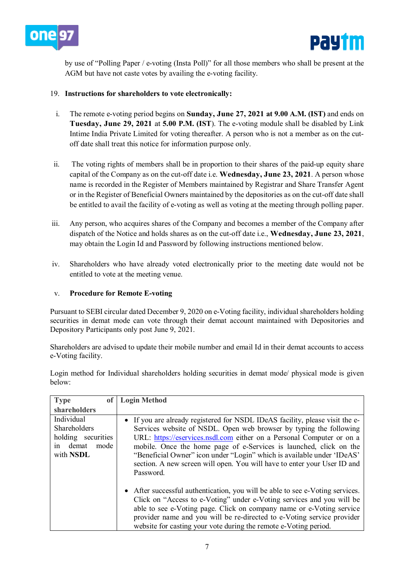



by use of "Polling Paper / e-voting (Insta Poll)" for all those members who shall be present at the AGM but have not caste votes by availing the e-voting facility.

# 19. **Instructions for shareholders to vote electronically:**

- i. The remote e-voting period begins on **Sunday, June 27, 2021 at 9.00 A.M. (IST)** and ends on **Tuesday, June 29, 2021** at **5.00 P.M. (IST**). The e-voting module shall be disabled by Link Intime India Private Limited for voting thereafter. A person who is not a member as on the cutoff date shall treat this notice for information purpose only.
- ii. The voting rights of members shall be in proportion to their shares of the paid-up equity share capital of the Company as on the cut-off date i.e. **Wednesday, June 23, 2021**. A person whose name is recorded in the Register of Members maintained by Registrar and Share Transfer Agent or in the Register of Beneficial Owners maintained by the depositories as on the cut-off date shall be entitled to avail the facility of e-voting as well as voting at the meeting through polling paper.
- iii. Any person, who acquires shares of the Company and becomes a member of the Company after dispatch of the Notice and holds shares as on the cut-off date i.e., **Wednesday, June 23, 2021**, may obtain the Login Id and Password by following instructions mentioned below.
- iv. Shareholders who have already voted electronically prior to the meeting date would not be entitled to vote at the meeting venue.

### v. **Procedure for Remote E-voting**

Pursuant to SEBI circular dated December 9, 2020 on e-Voting facility, individual shareholders holding securities in demat mode can vote through their demat account maintained with Depositories and Depository Participants only post June 9, 2021.

Shareholders are advised to update their mobile number and email Id in their demat accounts to access e-Voting facility.

Login method for Individual shareholders holding securities in demat mode/ physical mode is given below:

| <b>Type</b><br>0f                                                                           | <b>Login Method</b>                                                                                                                                                                                                                                                                                                                                                                                                                                                  |
|---------------------------------------------------------------------------------------------|----------------------------------------------------------------------------------------------------------------------------------------------------------------------------------------------------------------------------------------------------------------------------------------------------------------------------------------------------------------------------------------------------------------------------------------------------------------------|
| shareholders                                                                                |                                                                                                                                                                                                                                                                                                                                                                                                                                                                      |
| Individual<br><b>Shareholders</b><br>holding securities<br>demat<br>mode<br>in<br>with NSDL | • If you are already registered for NSDL IDeAS facility, please visit the e-<br>Services website of NSDL. Open web browser by typing the following<br>URL: https://eservices.nsdl.com either on a Personal Computer or on a<br>mobile. Once the home page of e-Services is launched, click on the<br>"Beneficial Owner" icon under "Login" which is available under 'IDeAS'<br>section. A new screen will open. You will have to enter your User ID and<br>Password. |
|                                                                                             | • After successful authentication, you will be able to see e-Voting services.<br>Click on "Access to e-Voting" under e-Voting services and you will be<br>able to see e-Voting page. Click on company name or e-Voting service<br>provider name and you will be re-directed to e-Voting service provider<br>website for casting your vote during the remote e-Voting period.                                                                                         |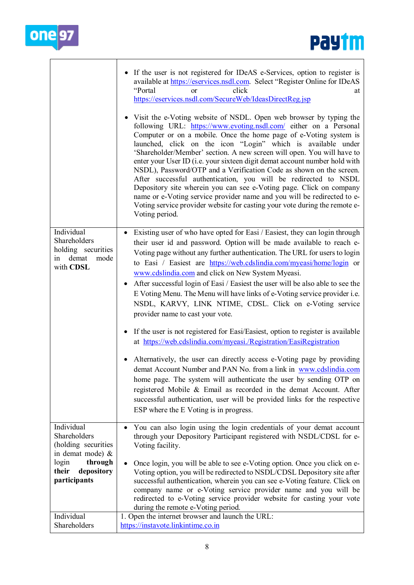

|                                                                                                                    | • If the user is not registered for IDeAS e-Services, option to register is<br>available at https://eservices.nsdl.com. Select "Register Online for IDeAS<br>"Portal<br>click<br><sub>or</sub><br>at<br>https://eservices.nsdl.com/SecureWeb/IdeasDirectReg.jsp<br>• Visit the e-Voting website of NSDL. Open web browser by typing the<br>following URL: https://www.evoting.nsdl.com/ either on a Personal<br>Computer or on a mobile. Once the home page of e-Voting system is<br>launched, click on the icon "Login" which is available under<br>'Shareholder/Member' section. A new screen will open. You will have to<br>enter your User ID (i.e. your sixteen digit demat account number hold with<br>NSDL), Password/OTP and a Verification Code as shown on the screen.<br>After successful authentication, you will be redirected to NSDL<br>Depository site wherein you can see e-Voting page. Click on company<br>name or e-Voting service provider name and you will be redirected to e-<br>Voting service provider website for casting your vote during the remote e-<br>Voting period. |
|--------------------------------------------------------------------------------------------------------------------|-------------------------------------------------------------------------------------------------------------------------------------------------------------------------------------------------------------------------------------------------------------------------------------------------------------------------------------------------------------------------------------------------------------------------------------------------------------------------------------------------------------------------------------------------------------------------------------------------------------------------------------------------------------------------------------------------------------------------------------------------------------------------------------------------------------------------------------------------------------------------------------------------------------------------------------------------------------------------------------------------------------------------------------------------------------------------------------------------------|
| Individual<br>Shareholders<br>holding securities<br>demat<br>mode<br>1n<br>with CDSL                               | Existing user of who have opted for Easi / Easiest, they can login through<br>their user id and password. Option will be made available to reach e-<br>Voting page without any further authentication. The URL for users to login<br>to Easi / Easiest are https://web.cdslindia.com/myeasi/home/login or<br>www.cdslindia.com and click on New System Myeasi.<br>After successful login of Easi / Easiest the user will be also able to see the<br>E Voting Menu. The Menu will have links of e-Voting service provider i.e.<br>NSDL, KARVY, LINK NTIME, CDSL. Click on e-Voting service<br>provider name to cast your vote.<br>If the user is not registered for Easi/Easiest, option to register is available<br>at https://web.cdslindia.com/myeasi./Registration/EasiRegistration<br>Alternatively, the user can directly access e-Voting page by providing<br>demat Account Number and PAN No. from a link in www.cdslindia.com<br>home page. The system will authenticate the user by sending OTP on<br>registered Mobile & Email as recorded in the demat Account. After                      |
| Individual                                                                                                         | successful authentication, user will be provided links for the respective<br>ESP where the E Voting is in progress.                                                                                                                                                                                                                                                                                                                                                                                                                                                                                                                                                                                                                                                                                                                                                                                                                                                                                                                                                                                   |
| Shareholders<br>(holding securities<br>in demat mode) &<br>through<br>login<br>their<br>depository<br>participants | You can also login using the login credentials of your demat account<br>through your Depository Participant registered with NSDL/CDSL for e-<br>Voting facility.<br>Once login, you will be able to see e-Voting option. Once you click on e-<br>Voting option, you will be redirected to NSDL/CDSL Depository site after<br>successful authentication, wherein you can see e-Voting feature. Click on<br>company name or e-Voting service provider name and you will be<br>redirected to e-Voting service provider website for casting your vote<br>during the remote e-Voting period.                                                                                                                                                                                                                                                                                                                                                                                                                                                                                                               |
| Individual<br>Shareholders                                                                                         | 1. Open the internet browser and launch the URL:<br>https://instavote.linkintime.co.in                                                                                                                                                                                                                                                                                                                                                                                                                                                                                                                                                                                                                                                                                                                                                                                                                                                                                                                                                                                                                |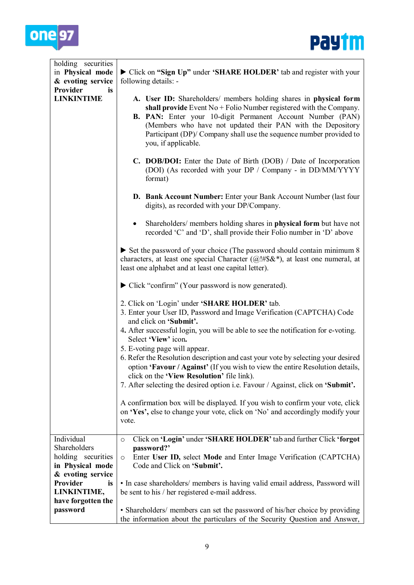



| holding securities<br>in Physical mode<br>& evoting service                               | Click on "Sign Up" under 'SHARE HOLDER' tab and register with your<br>following details: -                                                                                                                                                                                                                                                                                                                                                                                                                                                                                                          |
|-------------------------------------------------------------------------------------------|-----------------------------------------------------------------------------------------------------------------------------------------------------------------------------------------------------------------------------------------------------------------------------------------------------------------------------------------------------------------------------------------------------------------------------------------------------------------------------------------------------------------------------------------------------------------------------------------------------|
| Provider<br>is<br><b>LINKINTIME</b>                                                       | A. User ID: Shareholders/ members holding shares in physical form<br>shall provide Event $No + Folio$ Number registered with the Company.<br>B. PAN: Enter your 10-digit Permanent Account Number (PAN)<br>(Members who have not updated their PAN with the Depository<br>Participant (DP)/ Company shall use the sequence number provided to<br>you, if applicable.                                                                                                                                                                                                                                |
|                                                                                           | C. DOB/DOI: Enter the Date of Birth (DOB) / Date of Incorporation<br>(DOI) (As recorded with your DP / Company - in DD/MM/YYYY<br>format)                                                                                                                                                                                                                                                                                                                                                                                                                                                           |
|                                                                                           | D. Bank Account Number: Enter your Bank Account Number (last four<br>digits), as recorded with your DP/Company.                                                                                                                                                                                                                                                                                                                                                                                                                                                                                     |
|                                                                                           | Shareholders/ members holding shares in <b>physical form</b> but have not<br>$\bullet$<br>recorded 'C' and 'D', shall provide their Folio number in 'D' above                                                                                                                                                                                                                                                                                                                                                                                                                                       |
|                                                                                           | $\triangleright$ Set the password of your choice (The password should contain minimum 8)<br>characters, at least one special Character ( $@! \# \$\&^*$ ), at least one numeral, at<br>least one alphabet and at least one capital letter).                                                                                                                                                                                                                                                                                                                                                         |
|                                                                                           | • Click "confirm" (Your password is now generated).                                                                                                                                                                                                                                                                                                                                                                                                                                                                                                                                                 |
|                                                                                           | 2. Click on 'Login' under 'SHARE HOLDER' tab.<br>3. Enter your User ID, Password and Image Verification (CAPTCHA) Code<br>and click on 'Submit'.<br>4. After successful login, you will be able to see the notification for e-voting.<br>Select 'View' icon.<br>5. E-voting page will appear.<br>6. Refer the Resolution description and cast your vote by selecting your desired<br>option 'Favour / Against' (If you wish to view the entire Resolution details,<br>click on the 'View Resolution' file link).<br>7. After selecting the desired option i.e. Favour / Against, click on 'Submit'. |
|                                                                                           | A confirmation box will be displayed. If you wish to confirm your vote, click<br>on 'Yes', else to change your vote, click on 'No' and accordingly modify your<br>vote.                                                                                                                                                                                                                                                                                                                                                                                                                             |
| Individual<br>Shareholders<br>holding securities<br>in Physical mode<br>& evoting service | Click on 'Login' under 'SHARE HOLDER' tab and further Click 'forgot<br>$\circ$<br>password?'<br>Enter User ID, select Mode and Enter Image Verification (CAPTCHA)<br>$\circ$<br>Code and Click on 'Submit'.                                                                                                                                                                                                                                                                                                                                                                                         |
| Provider<br>is<br>LINKINTIME,<br>have forgotten the                                       | • In case shareholders/ members is having valid email address, Password will<br>be sent to his / her registered e-mail address.                                                                                                                                                                                                                                                                                                                                                                                                                                                                     |
| password                                                                                  | • Shareholders/ members can set the password of his/her choice by providing<br>the information about the particulars of the Security Question and Answer,                                                                                                                                                                                                                                                                                                                                                                                                                                           |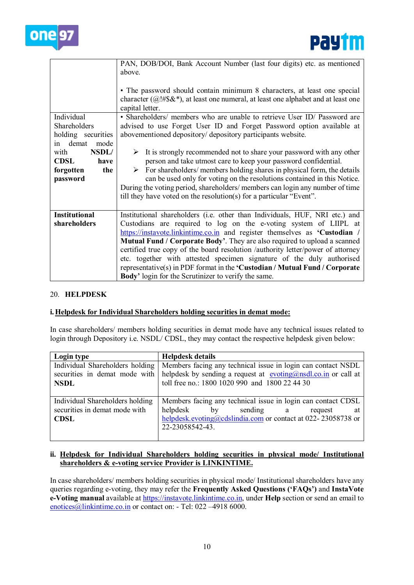



|                      | PAN, DOB/DOI, Bank Account Number (last four digits) etc. as mentioned                     |
|----------------------|--------------------------------------------------------------------------------------------|
|                      | above.                                                                                     |
|                      |                                                                                            |
|                      | • The password should contain minimum 8 characters, at least one special                   |
|                      | character ( $@! \# \$\&^*$ ), at least one numeral, at least one alphabet and at least one |
|                      | capital letter.                                                                            |
| Individual           | • Shareholders/ members who are unable to retrieve User ID/ Password are                   |
| Shareholders         | advised to use Forget User ID and Forget Password option available at                      |
| holding securities   | abovementioned depository/ depository participants website.                                |
| demat<br>mode<br>in  |                                                                                            |
| NSDL/<br>with        | It is strongly recommended not to share your password with any other<br>➤                  |
| <b>CDSL</b><br>have  | person and take utmost care to keep your password confidential.                            |
| forgotten<br>the     | For shareholders/ members holding shares in physical form, the details<br>➤                |
| password             | can be used only for voting on the resolutions contained in this Notice.                   |
|                      | During the voting period, shareholders/members can login any number of time                |
|                      | till they have voted on the resolution(s) for a particular "Event".                        |
|                      |                                                                                            |
| <b>Institutional</b> | Institutional shareholders (i.e. other than Individuals, HUF, NRI etc.) and                |
| shareholders         | Custodians are required to log on the e-voting system of LIIPL at                          |
|                      | https://instavote.linkintime.co.in and register themselves as 'Custodian /                 |
|                      | Mutual Fund / Corporate Body'. They are also required to upload a scanned                  |
|                      | certified true copy of the board resolution /authority letter/power of attorney            |
|                      | etc. together with attested specimen signature of the duly authorised                      |
|                      | representative(s) in PDF format in the 'Custodian / Mutual Fund / Corporate                |
|                      | Body' login for the Scrutinizer to verify the same.                                        |

### 20. **HELPDESK**

### **i.Helpdesk for Individual Shareholders holding securities in demat mode:**

In case shareholders/ members holding securities in demat mode have any technical issues related to login through Depository i.e. NSDL/ CDSL, they may contact the respective helpdesk given below:

| Login type                      | <b>Helpdesk details</b>                                                                                                         |
|---------------------------------|---------------------------------------------------------------------------------------------------------------------------------|
| Individual Shareholders holding | Members facing any technical issue in login can contact NSDL                                                                    |
|                                 | securities in demat mode with helpdesk by sending a request at $\frac{\text{evoting}(a) \cdot \text{rad.}}{\text{cos}a}$ and at |
| <b>NSDL</b>                     | toll free no.: 1800 1020 990 and 1800 22 44 30                                                                                  |
|                                 |                                                                                                                                 |
| Individual Shareholders holding | Members facing any technical issue in login can contact CDSL                                                                    |
| securities in demat mode with   | helpdesk<br>by<br>sending a<br>request<br>at                                                                                    |
| <b>CDSL</b>                     | helpdesk.evoting@cdslindia.com or contact at 022-23058738 or                                                                    |
|                                 | 22-23058542-43.                                                                                                                 |
|                                 |                                                                                                                                 |

### **ii. Helpdesk for Individual Shareholders holding securities in physical mode/ Institutional shareholders & e-voting service Provider is LINKINTIME.**

In case shareholders/ members holding securities in physical mode/ Institutional shareholders have any queries regarding e-voting, they may refer the **Frequently Asked Questions ('FAQs')** and **InstaVote e-Voting manual** available at [https://instavote.linkintime.co.in,](https://instavote.linkintime.co.in/) under **Help** section or send an email to [enotices@linkintime.co.in](mailto:enotices@linkintime.co.in) or contact on: - Tel: 022 -4918 6000.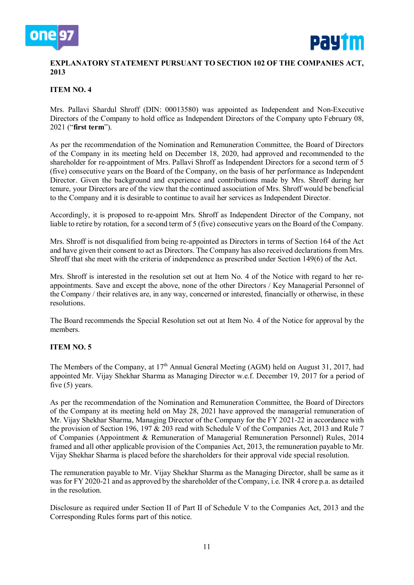



# **EXPLANATORY STATEMENT PURSUANT TO SECTION 102 OF THE COMPANIES ACT, 2013**

# **ITEM NO. 4**

Mrs. Pallavi Shardul Shroff (DIN: 00013580) was appointed as Independent and Non-Executive Directors of the Company to hold office as Independent Directors of the Company upto February 08, 2021 ("**first term**").

As per the recommendation of the Nomination and Remuneration Committee, the Board of Directors of the Company in its meeting held on December 18, 2020, had approved and recommended to the shareholder for re-appointment of Mrs. Pallavi Shroff as Independent Directors for a second term of 5 (five) consecutive years on the Board of the Company, on the basis of her performance as Independent Director. Given the background and experience and contributions made by Mrs. Shroff during her tenure, your Directors are of the view that the continued association of Mrs. Shroff would be beneficial to the Company and it is desirable to continue to avail her services as Independent Director.

Accordingly, it is proposed to re-appoint Mrs. Shroff as Independent Director of the Company, not liable to retire by rotation, for a second term of 5 (five) consecutive years on the Board of the Company.

Mrs. Shroff is not disqualified from being re-appointed as Directors in terms of Section 164 of the Act and have given their consent to act as Directors. The Company has also received declarations from Mrs. Shroff that she meet with the criteria of independence as prescribed under Section 149(6) of the Act.

Mrs. Shroff is interested in the resolution set out at Item No. 4 of the Notice with regard to her reappointments. Save and except the above, none of the other Directors / Key Managerial Personnel of the Company / their relatives are, in any way, concerned or interested, financially or otherwise, in these resolutions.

The Board recommends the Special Resolution set out at Item No. 4 of the Notice for approval by the members.

### **ITEM NO. 5**

The Members of the Company, at 17<sup>th</sup> Annual General Meeting (AGM) held on August 31, 2017, had appointed Mr. Vijay Shekhar Sharma as Managing Director w.e.f. December 19, 2017 for a period of five (5) years.

As per the recommendation of the Nomination and Remuneration Committee, the Board of Directors of the Company at its meeting held on May 28, 2021 have approved the managerial remuneration of Mr. Vijay Shekhar Sharma, Managing Director of the Company for the FY 2021-22 in accordance with the provision of Section 196, 197 & 203 read with Schedule V of the Companies Act, 2013 and Rule 7 of Companies (Appointment & Remuneration of Managerial Remuneration Personnel) Rules, 2014 framed and all other applicable provision of the Companies Act, 2013, the remuneration payable to Mr. Vijay Shekhar Sharma is placed before the shareholders for their approval vide special resolution.

The remuneration payable to Mr. Vijay Shekhar Sharma as the Managing Director, shall be same as it was for FY 2020-21 and as approved by the shareholder of the Company, i.e. INR 4 crore p.a. as detailed in the resolution.

Disclosure as required under Section II of Part II of Schedule V to the Companies Act, 2013 and the Corresponding Rules forms part of this notice.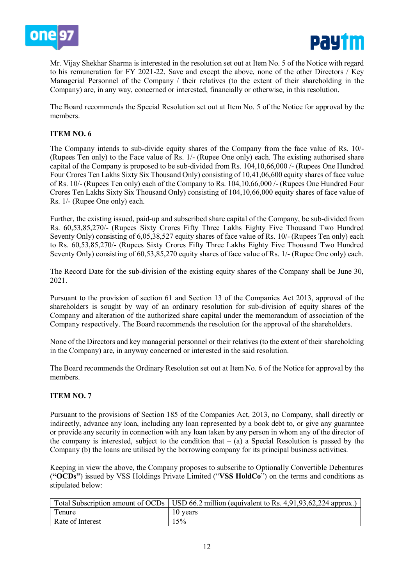



Mr. Vijay Shekhar Sharma is interested in the resolution set out at Item No. 5 of the Notice with regard to his remuneration for FY 2021-22. Save and except the above, none of the other Directors / Key Managerial Personnel of the Company / their relatives (to the extent of their shareholding in the Company) are, in any way, concerned or interested, financially or otherwise, in this resolution.

The Board recommends the Special Resolution set out at Item No. 5 of the Notice for approval by the members.

# **ITEM NO. 6**

The Company intends to sub-divide equity shares of the Company from the face value of Rs. 10/- (Rupees Ten only) to the Face value of Rs. 1/- (Rupee One only) each. The existing authorised share capital of the Company is proposed to be sub-divided from Rs. 104,10,66,000 /- (Rupees One Hundred Four Crores Ten Lakhs Sixty Six Thousand Only) consisting of 10,41,06,600 equity shares of face value of Rs. 10/- (Rupees Ten only) each of the Company to Rs. 104,10,66,000 /- (Rupees One Hundred Four Crores Ten Lakhs Sixty Six Thousand Only) consisting of 104,10,66,000 equity shares of face value of Rs. 1/- (Rupee One only) each.

Further, the existing issued, paid-up and subscribed share capital of the Company, be sub-divided from Rs. 60,53,85,270/- (Rupees Sixty Crores Fifty Three Lakhs Eighty Five Thousand Two Hundred Seventy Only) consisting of 6,05,38,527 equity shares of face value of Rs. 10/- (Rupees Ten only) each to Rs. 60,53,85,270/- (Rupees Sixty Crores Fifty Three Lakhs Eighty Five Thousand Two Hundred Seventy Only) consisting of 60,53,85,270 equity shares of face value of Rs. 1/- (Rupee One only) each.

The Record Date for the sub-division of the existing equity shares of the Company shall be June 30, 2021.

Pursuant to the provision of section 61 and Section 13 of the Companies Act 2013, approval of the shareholders is sought by way of an ordinary resolution for sub-division of equity shares of the Company and alteration of the authorized share capital under the memorandum of association of the Company respectively. The Board recommends the resolution for the approval of the shareholders.

None of the Directors and key managerial personnel or their relatives (to the extent of their shareholding in the Company) are, in anyway concerned or interested in the said resolution.

The Board recommends the Ordinary Resolution set out at Item No. 6 of the Notice for approval by the members.

### **ITEM NO. 7**

Pursuant to the provisions of Section 185 of the Companies Act, 2013, no Company, shall directly or indirectly, advance any loan, including any loan represented by a book debt to, or give any guarantee or provide any security in connection with any loan taken by any person in whom any of the director of the company is interested, subject to the condition that  $-$  (a) a Special Resolution is passed by the Company (b) the loans are utilised by the borrowing company for its principal business activities.

Keeping in view the above, the Company proposes to subscribe to Optionally Convertible Debentures (**"OCDs"**) issued by VSS Holdings Private Limited ("**VSS HoldCo**") on the terms and conditions as stipulated below:

|                  | Total Subscription amount of OCDs   USD 66.2 million (equivalent to Rs. 4,91,93,62,224 approx.) |
|------------------|-------------------------------------------------------------------------------------------------|
| l enure          | 10 years                                                                                        |
| Rate of Interest | 15%                                                                                             |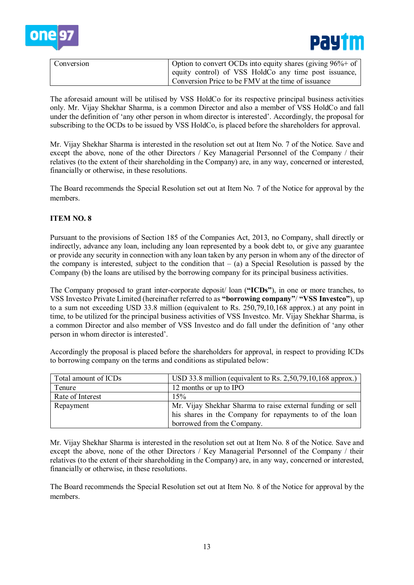



| Conversion | Option to convert OCDs into equity shares (giving $96\% +$ of  <br>equity control) of VSS HoldCo any time post issuance, |
|------------|--------------------------------------------------------------------------------------------------------------------------|
|            | Conversion Price to be FMV at the time of issuance                                                                       |

The aforesaid amount will be utilised by VSS HoldCo for its respective principal business activities only. Mr. Vijay Shekhar Sharma, is a common Director and also a member of VSS HoldCo and fall under the definition of 'any other person in whom director is interested'. Accordingly, the proposal for subscribing to the OCDs to be issued by VSS HoldCo, is placed before the shareholders for approval.

Mr. Vijay Shekhar Sharma is interested in the resolution set out at Item No. 7 of the Notice. Save and except the above, none of the other Directors / Key Managerial Personnel of the Company / their relatives (to the extent of their shareholding in the Company) are, in any way, concerned or interested, financially or otherwise, in these resolutions.

The Board recommends the Special Resolution set out at Item No. 7 of the Notice for approval by the members.

# **ITEM NO. 8**

Pursuant to the provisions of Section 185 of the Companies Act, 2013, no Company, shall directly or indirectly, advance any loan, including any loan represented by a book debt to, or give any guarantee or provide any security in connection with any loan taken by any person in whom any of the director of the company is interested, subject to the condition that  $-$  (a) a Special Resolution is passed by the Company (b) the loans are utilised by the borrowing company for its principal business activities.

The Company proposed to grant inter-corporate deposit/ loan (**"ICDs"**), in one or more tranches, to VSS Investco Private Limited (hereinafter referred to as **"borrowing company"**/ **"VSS Investco"**), up to a sum not exceeding USD 33.8 million (equivalent to Rs. 250,79,10,168 approx.) at any point in time, to be utilized for the principal business activities of VSS Investco. Mr. Vijay Shekhar Sharma, is a common Director and also member of VSS Investco and do fall under the definition of 'any other person in whom director is interested'.

Accordingly the proposal is placed before the shareholders for approval, in respect to providing ICDs to borrowing company on the terms and conditions as stipulated below:

| Total amount of ICDs             | USD 33.8 million (equivalent to Rs. 2,50,79,10,168 approx.) |
|----------------------------------|-------------------------------------------------------------|
| 12 months or up to IPO<br>Tenure |                                                             |
| Rate of Interest                 | 15%                                                         |
| Repayment                        | Mr. Vijay Shekhar Sharma to raise external funding or sell  |
|                                  | his shares in the Company for repayments to of the loan     |
|                                  | borrowed from the Company.                                  |

Mr. Vijay Shekhar Sharma is interested in the resolution set out at Item No. 8 of the Notice. Save and except the above, none of the other Directors / Key Managerial Personnel of the Company / their relatives (to the extent of their shareholding in the Company) are, in any way, concerned or interested, financially or otherwise, in these resolutions.

The Board recommends the Special Resolution set out at Item No. 8 of the Notice for approval by the members.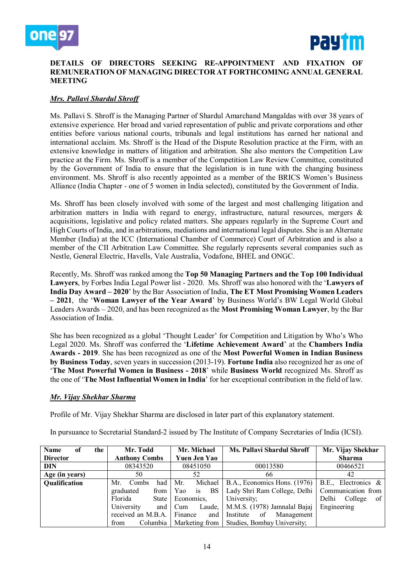



### **DETAILS OF DIRECTORS SEEKING RE-APPOINTMENT AND FIXATION OF REMUNERATION OF MANAGING DIRECTOR AT FORTHCOMING ANNUAL GENERAL MEETING**

# *Mrs. Pallavi Shardul Shroff*

Ms. Pallavi S. Shroff is the Managing Partner of Shardul Amarchand Mangaldas with over 38 years of extensive experience. Her broad and varied representation of public and private corporations and other entities before various national courts, tribunals and legal institutions has earned her national and international acclaim. Ms. Shroff is the Head of the Dispute Resolution practice at the Firm, with an extensive knowledge in matters of litigation and arbitration. She also mentors the Competition Law practice at the Firm. Ms. Shroff is a member of the Competition Law Review Committee, constituted by the Government of India to ensure that the legislation is in tune with the changing business environment. Ms. Shroff is also recently appointed as a member of the BRICS Women's Business Alliance (India Chapter - one of 5 women in India selected), constituted by the Government of India.

Ms. Shroff has been closely involved with some of the largest and most challenging litigation and arbitration matters in India with regard to energy, infrastructure, natural resources, mergers & acquisitions, legislative and policy related matters. She appears regularly in the Supreme Court and High Courts of India, and in arbitrations, mediations and international legal disputes. She is an Alternate Member (India) at the ICC (International Chamber of Commerce) Court of Arbitration and is also a member of the CII Arbitration Law Committee. She regularly represents several companies such as Nestle, General Electric, Havells, Vale Australia, Vodafone, BHEL and ONGC.

Recently, Ms. Shroff was ranked among the **Top 50 Managing Partners and the Top 100 Individual Lawyers**, by Forbes India Legal Power list - 2020. Ms. Shroff was also honored with the '**Lawyers of India Day Award – 2020**' by the Bar Association of India, **The ET Most Promising Women Leaders – 2021**, the '**Woman Lawyer of the Year Award**' by Business World's BW Legal World Global Leaders Awards – 2020, and has been recognized as the **Most Promising Woman Lawyer**, by the Bar Association of India.

She has been recognized as a global 'Thought Leader' for Competition and Litigation by Who's Who Legal 2020. Ms. Shroff was conferred the '**Lifetime Achievement Award**' at the **Chambers India Awards - 2019**. She has been recognized as one of the **Most Powerful Women in Indian Business by Business Today**, seven years in succession (2013-19). **Fortune India** also recognized her as one of '**The Most Powerful Women in Business - 2018**' while **Business World** recognized Ms. Shroff as the one of '**The Most Influential Women in India**' for her exceptional contribution in the field of law.

### *Mr. Vijay Shekhar Sharma*

Profile of Mr. Vijay Shekhar Sharma are disclosed in later part of this explanatory statement.

| <b>Name</b><br>of | the | Mr. Todd             | Mr. Michael                   | Ms. Pallavi Shardul Shroff                              | Mr. Vijay Shekhar      |
|-------------------|-----|----------------------|-------------------------------|---------------------------------------------------------|------------------------|
| <b>Director</b>   |     | <b>Anthony Combs</b> | <b>Yuen Jen Yao</b>           |                                                         | <b>Sharma</b>          |
| <b>DIN</b>        |     | 08343520             | 08451050                      | 00013580                                                | 00466521               |
| Age (in years)    |     | 50                   | 52                            | 66                                                      | 42                     |
| Qualification     |     | Mr.<br>had<br>Combs  | Mr.                           | Michael   B.A., Economics Hons. (1976)                  | B.E., Electronics &    |
|                   |     | graduated<br>from    | <b>BS</b><br>Yao<br><i>is</i> | Lady Shri Ram College, Delhi                            | Communication from     |
|                   |     | Florida<br>State     | Economics,                    | University;                                             | Delhi<br>College<br>of |
|                   |     | University<br>and    | Cum                           | Laude,   M.M.S. (1978) Jamnalal Bajaj                   | Engineering            |
|                   |     | received an M.B.A.   | Finance                       | and Institute of<br>Management                          |                        |
|                   |     | from                 |                               | Columbia   Marketing from   Studies, Bombay University; |                        |

In pursuance to Secretarial Standard-2 issued by The Institute of Company Secretaries of India (ICSI).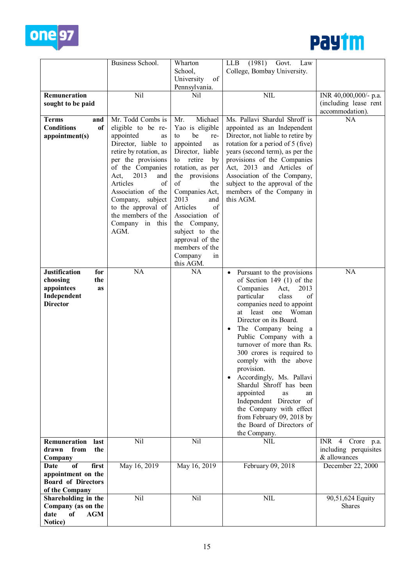



|                                                                                                      | Business School.                                                                                                                                                                                                                                                                                                   | Wharton                                                                                                                                                                                                                                                                                                                                        | (1981)<br>LLB<br>Govt.<br>Law                                                                                                                                                                                                                                                                                                                                                                                                                                                                                                                                                           |                                                                |
|------------------------------------------------------------------------------------------------------|--------------------------------------------------------------------------------------------------------------------------------------------------------------------------------------------------------------------------------------------------------------------------------------------------------------------|------------------------------------------------------------------------------------------------------------------------------------------------------------------------------------------------------------------------------------------------------------------------------------------------------------------------------------------------|-----------------------------------------------------------------------------------------------------------------------------------------------------------------------------------------------------------------------------------------------------------------------------------------------------------------------------------------------------------------------------------------------------------------------------------------------------------------------------------------------------------------------------------------------------------------------------------------|----------------------------------------------------------------|
|                                                                                                      |                                                                                                                                                                                                                                                                                                                    | School,<br>University<br>of                                                                                                                                                                                                                                                                                                                    | College, Bombay University.                                                                                                                                                                                                                                                                                                                                                                                                                                                                                                                                                             |                                                                |
|                                                                                                      |                                                                                                                                                                                                                                                                                                                    | Pennsylvania.                                                                                                                                                                                                                                                                                                                                  |                                                                                                                                                                                                                                                                                                                                                                                                                                                                                                                                                                                         |                                                                |
| Remuneration                                                                                         | Nil                                                                                                                                                                                                                                                                                                                | Nil                                                                                                                                                                                                                                                                                                                                            | <b>NIL</b>                                                                                                                                                                                                                                                                                                                                                                                                                                                                                                                                                                              | INR 40,000,000/- p.a.                                          |
| sought to be paid                                                                                    |                                                                                                                                                                                                                                                                                                                    |                                                                                                                                                                                                                                                                                                                                                |                                                                                                                                                                                                                                                                                                                                                                                                                                                                                                                                                                                         | (including lease rent<br>accommodation).                       |
| <b>Terms</b><br>and<br><b>Conditions</b><br>of<br>appointment(s)                                     | Mr. Todd Combs is<br>eligible to be re-<br>appointed<br>as<br>Director, liable to<br>retire by rotation, as<br>per the provisions<br>of the Companies<br>Act,<br>2013<br>and<br>Articles<br>of<br>Association of the<br>Company,<br>subject<br>to the approval of<br>the members of the<br>Company in this<br>AGM. | Michael<br>Mr.<br>Yao is eligible<br>be<br>to<br>re-<br>appointed<br>as<br>Director, liable<br>retire<br>to<br>by<br>rotation, as per<br>the provisions<br>of<br>the<br>Companies Act,<br>2013<br>and<br>Articles<br>of<br>Association of<br>the Company,<br>subject to the<br>approval of the<br>members of the<br>Company<br>in<br>this AGM. | Ms. Pallavi Shardul Shroff is<br>appointed as an Independent<br>Director, not liable to retire by<br>rotation for a period of 5 (five)<br>years (second term), as per the<br>provisions of the Companies<br>Act, 2013 and Articles of<br>Association of the Company,<br>subject to the approval of the<br>members of the Company in<br>this AGM.                                                                                                                                                                                                                                        | <b>NA</b>                                                      |
| <b>Justification</b><br>for<br>choosing<br>the<br>appointees<br>as<br>Independent<br><b>Director</b> | NA                                                                                                                                                                                                                                                                                                                 | NA                                                                                                                                                                                                                                                                                                                                             | Pursuant to the provisions<br>$\bullet$<br>of Section 149 $(1)$ of the<br>Companies<br>2013<br>Act,<br>particular<br>class<br>of<br>companies need to appoint<br>least<br>one<br>Woman<br>at<br>Director on its Board.<br>The Company being a<br>Public Company with a<br>turnover of more than Rs.<br>300 crores is required to<br>comply with the above<br>provision.<br>Accordingly, Ms. Pallavi<br>Shardul Shroff has been<br>appointed<br>as<br>an<br>Independent Director of<br>the Company with effect<br>from February 09, 2018 by<br>the Board of Directors of<br>the Company. | NA                                                             |
| Remuneration<br>last<br>from<br>drawn<br>the<br>Company                                              | Nil                                                                                                                                                                                                                                                                                                                | Nil                                                                                                                                                                                                                                                                                                                                            | <b>NIL</b>                                                                                                                                                                                                                                                                                                                                                                                                                                                                                                                                                                              | $INR$ 4<br>Crore p.a.<br>including perquisites<br>& allowances |
| first<br>Date<br>of<br>appointment on the<br><b>Board of Directors</b><br>of the Company             | May 16, 2019                                                                                                                                                                                                                                                                                                       | May 16, 2019                                                                                                                                                                                                                                                                                                                                   | February 09, 2018                                                                                                                                                                                                                                                                                                                                                                                                                                                                                                                                                                       | December 22, 2000                                              |
| Shareholding in the<br>Company (as on the<br>date<br>of<br><b>AGM</b><br>Notice)                     | Nil                                                                                                                                                                                                                                                                                                                | Nil                                                                                                                                                                                                                                                                                                                                            | <b>NIL</b>                                                                                                                                                                                                                                                                                                                                                                                                                                                                                                                                                                              | 90,51,624 Equity<br>Shares                                     |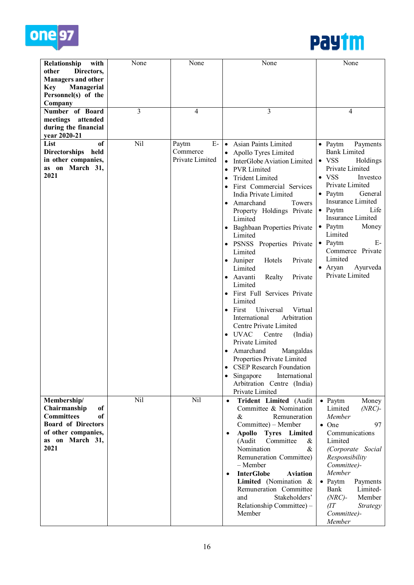



| Relationship<br>with                                                                                                                        | None | None                                         | None                                                                                                                                                                                                                                                                                                                                                                                                                                                                                                                                                                                                                                                                                                                                                                                                                      | None                                                                                                                                                                                                                                                                                                                                                                                   |
|---------------------------------------------------------------------------------------------------------------------------------------------|------|----------------------------------------------|---------------------------------------------------------------------------------------------------------------------------------------------------------------------------------------------------------------------------------------------------------------------------------------------------------------------------------------------------------------------------------------------------------------------------------------------------------------------------------------------------------------------------------------------------------------------------------------------------------------------------------------------------------------------------------------------------------------------------------------------------------------------------------------------------------------------------|----------------------------------------------------------------------------------------------------------------------------------------------------------------------------------------------------------------------------------------------------------------------------------------------------------------------------------------------------------------------------------------|
| other<br>Directors,<br><b>Managers and other</b><br>Managerial<br><b>Key</b><br>Personnel(s) of the                                         |      |                                              |                                                                                                                                                                                                                                                                                                                                                                                                                                                                                                                                                                                                                                                                                                                                                                                                                           |                                                                                                                                                                                                                                                                                                                                                                                        |
| Company                                                                                                                                     |      |                                              |                                                                                                                                                                                                                                                                                                                                                                                                                                                                                                                                                                                                                                                                                                                                                                                                                           |                                                                                                                                                                                                                                                                                                                                                                                        |
| Number of Board<br>attended<br>meetings<br>during the financial<br>vear 2020-21                                                             | 3    | 4                                            | 3                                                                                                                                                                                                                                                                                                                                                                                                                                                                                                                                                                                                                                                                                                                                                                                                                         | 4                                                                                                                                                                                                                                                                                                                                                                                      |
| List<br>of<br>Directorships held<br>in other companies,<br>as on March 31,<br>2021                                                          | Nil  | $E-$<br>Paytm<br>Commerce<br>Private Limited | Asian Paints Limited<br>$\bullet$<br>Apollo Tyres Limited<br>InterGlobe Aviation Limited<br><b>PVR</b> Limited<br>$\bullet$<br><b>Trident Limited</b><br>First Commercial Services<br>India Private Limited<br>Amarchand<br>Towers<br>Property Holdings Private<br>Limited<br><b>Baghbaan Properties Private</b><br>Limited<br>PSNSS Properties Private<br>Limited<br>Juniper<br>Hotels<br>Private<br>Limited<br>Aavanti<br>Realty<br>Private<br>Limited<br>First Full Services Private<br>Limited<br>First<br>Universal<br>Virtual<br>International<br>Arbitration<br>Centre Private Limited<br><b>UVAC</b><br>Centre<br>(India)<br>Private Limited<br>Amarchand<br>Mangaldas<br>Properties Private Limited<br>• CSEP Research Foundation<br>Singapore<br>International<br>Arbitration Centre (India)<br>Private Limited | $\bullet$ Paytm<br>Payments<br><b>Bank Limited</b><br>$\bullet$ VSS<br>Holdings<br>Private Limited<br>$\bullet$ VSS<br>Investco<br>Private Limited<br>$\bullet$ Paytm<br>General<br>Insurance Limited<br>$\bullet$ Paytm<br>Life<br>Insurance Limited<br>$\bullet$ Paytm<br>Money<br>Limited<br>• Paytm<br>E-<br>Commerce Private<br>Limited<br>• Aryan<br>Ayurveda<br>Private Limited |
| Membership/<br>Chairmanship<br>of<br><b>Committees</b><br>of<br><b>Board of Directors</b><br>of other companies,<br>as on March 31,<br>2021 | Nil  | Nil                                          | Trident Limited (Audit<br>$\bullet$<br>Committee & Nomination<br>Remuneration<br>&<br>Committee) – Member<br>Apollo Tyres Limited<br>$\bullet$<br>Committee<br>(Audit<br>&<br>Nomination<br>&<br>Remuneration Committee)<br>- Member<br><b>InterGlobe</b><br><b>Aviation</b><br>$\bullet$<br>Limited (Nomination &<br>Remuneration Committee<br>and<br>Stakeholders'<br>Relationship Committee) -<br>Member                                                                                                                                                                                                                                                                                                                                                                                                               | • Paytm<br>Money<br>$(NRC)$ -<br>Limited<br>Member<br>$\bullet$ One<br>97<br>Communications<br>Limited<br>(Corporate Social<br>Responsibility<br>Committee)-<br>Member<br>$\bullet$ Paytm<br>Payments<br>Bank<br>Limited-<br>$(NRC)$ -<br>Member<br>(TT)<br><b>Strategy</b><br>Committee)-<br>Member                                                                                   |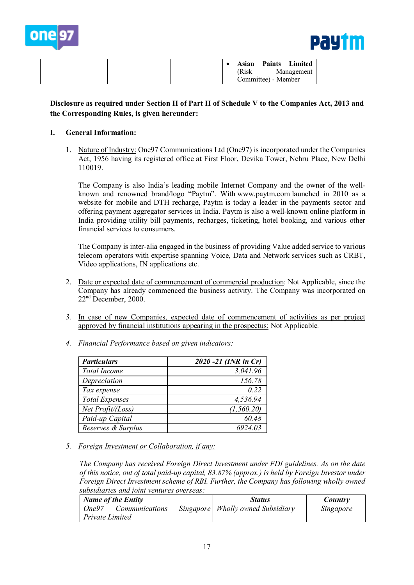



| <b>Paints</b> Limited<br>Asian<br>(Risk<br>Management<br>Committee) - Member |
|------------------------------------------------------------------------------|
|------------------------------------------------------------------------------|

# **Disclosure as required under Section II of Part II of Schedule V to the Companies Act, 2013 and the Corresponding Rules, is given hereunder:**

### **I. General Information:**

1. Nature of Industry: One97 Communications Ltd (One97) is incorporated under the Companies Act, 1956 having its registered office at First Floor, Devika Tower, Nehru Place, New Delhi 110019.

The Company is also India's leading mobile Internet Company and the owner of the wellknown and renowned brand/logo "Paytm". With [www.paytm.com](http://www.paytm.com/) launched in 2010 as a website for mobile and DTH recharge, Paytm is today a leader in the payments sector and offering payment aggregator services in India. Paytm is also a well-known online platform in India providing utility bill payments, recharges, ticketing, hotel booking, and various other financial services to consumers.

The Company is inter-alia engaged in the business of providing Value added service to various telecom operators with expertise spanning Voice, Data and Network services such as CRBT, Video applications, IN applications etc.

- 2. Date or expected date of commencement of commercial production: Not Applicable, since the Company has already commenced the business activity. The Company was incorporated on 22nd December, 2000.
- *3.* In case of new Companies, expected date of commencement of activities as per project approved by financial institutions appearing in the prospectus: Not Applicable*.*
- *4. Financial Performance based on given indicators:*

| <b>Particulars</b>    | 2020 -21 (INR in Cr) |
|-----------------------|----------------------|
| <b>Total Income</b>   | 3,041.96             |
| Depreciation          | 156.78               |
| Tax expense           | 0.22                 |
| <b>Total Expenses</b> | 4,536.94             |
| Net Profit/(Loss)     | (1, 560.20)          |
| Paid-up Capital       | 60.48                |
| Reserves & Surplus    | 6924.03              |

*5. Foreign Investment or Collaboration, if any:* 

*The Company has received Foreign Direct Investment under FDI guidelines. As on the date of this notice, out of total paid-up capital, 83.87% (approx.) is held by Foreign Investor under Foreign Direct Investment scheme of RBI. Further, the Company has following wholly owned subsidiaries and joint ventures overseas:*

| <b>Name of the Entity</b>      | <b>Status</b>                       | Country   |
|--------------------------------|-------------------------------------|-----------|
| One97<br><i>Communications</i> | Singapore   Wholly owned Subsidiary | Singapore |
| Private Limited                |                                     |           |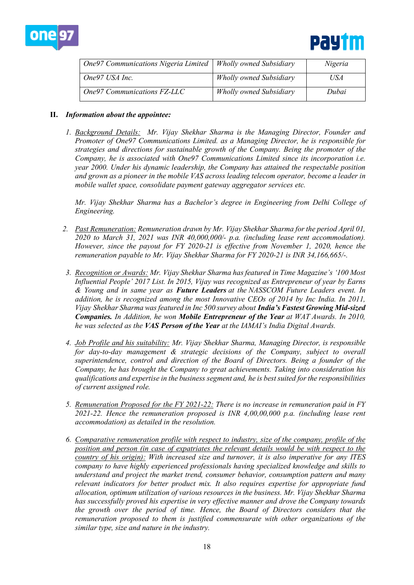



| One 97 Communications Nigeria Limited   Wholly owned Subsidiary |                                | Nigeria |
|-----------------------------------------------------------------|--------------------------------|---------|
| One97 USA Inc.                                                  | <b>Wholly owned Subsidiary</b> | USA     |
| One97 Communications FZ-LLC                                     | <b>Wholly owned Subsidiary</b> | Dubai   |

### **II.** *Information about the appointee:*

*1. Background Details: Mr. Vijay Shekhar Sharma is the Managing Director, Founder and Promoter of One97 Communications Limited. as a Managing Director, he is responsible for strategies and directions for sustainable growth of the Company. Being the promoter of the Company, he is associated with One97 Communications Limited since its incorporation i.e. year 2000. Under his dynamic leadership, the Company has attained the respectable position and grown as a pioneer in the mobile VAS across leading telecom operator, become a leader in mobile wallet space, consolidate payment gateway aggregator services etc.* 

*Mr. Vijay Shekhar Sharma has a Bachelor's degree in Engineering from Delhi College of Engineering.*

- *2. Past Remuneration: Remuneration drawn by Mr. Vijay Shekhar Sharma for the period April 01, 2020 to March 31, 2021 was INR 40,000,000/- p.a. (including lease rent accommodation). However, since the payout for FY 2020-21 is effective from November 1, 2020, hence the remuneration payable to Mr. Vijay Shekhar Sharma for FY 2020-21 is INR 34,166,665/-.*
- *3. Recognition or Awards: Mr. Vijay Shekhar Sharma has featured in Time Magazine's '100 Most Influential People' 2017 List. In 2015, Vijay was recognized as Entrepreneur of year by Earns & Young and in same year as Future Leaders at the NASSCOM Future Leaders event. In addition, he is recognized among the most Innovative CEOs of 2014 by Inc India. In 2011, Vijay Shekhar Sharma was featured in Inc 500 survey about India's Fastest Growing Mid-sized Companies. In Addition, he won Mobile Entrepreneur of the Year at WAT Awards. In 2010, he was selected as the VAS Person of the Year at the IAMAI's India Digital Awards.*
- *4. Job Profile and his suitability: Mr. Vijay Shekhar Sharma, Managing Director, is responsible for day-to-day management & strategic decisions of the Company, subject to overall superintendence, control and direction of the Board of Directors. Being a founder of the Company, he has brought the Company to great achievements. Taking into consideration his qualifications and expertise in the business segment and, he is best suited for the responsibilities of current assigned role.*
- *5. Remuneration Proposed for the FY 2021-22: There is no increase in remuneration paid in FY 2021-22. Hence the remuneration proposed is INR 4,00,00,000 p.a. (including lease rent accommodation) as detailed in the resolution.*
- *6. Comparative remuneration profile with respect to industry, size of the company, profile of the position and person (in case of expatriates the relevant details would be with respect to the country of his origin): With increased size and turnover, it is also imperative for any ITES company to have highly experienced professionals having specialized knowledge and skills to understand and project the market trend, consumer behavior, consumption pattern and many relevant indicators for better product mix. It also requires expertise for appropriate fund allocation, optimum utilization of various resources in the business. Mr. Vijay Shekhar Sharma has successfully proved his expertise in very effective manner and drove the Company towards the growth over the period of time. Hence, the Board of Directors considers that the remuneration proposed to them is justified commensurate with other organizations of the similar type, size and nature in the industry.*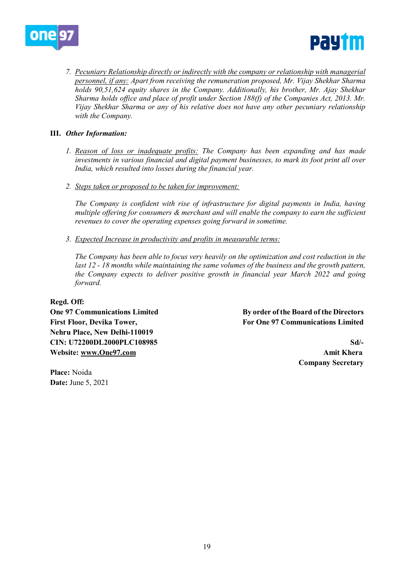



*7. Pecuniary Relationship directly or indirectly with the company or relationship with managerial personnel, if any: Apart from receiving the remuneration proposed, Mr. Vijay Shekhar Sharma holds 90,51,624 equity shares in the Company. Additionally, his brother, Mr. Ajay Shekhar Sharma holds office and place of profit under Section 188(f) of the Companies Act, 2013. Mr. Vijay Shekhar Sharma or any of his relative does not have any other pecuniary relationship with the Company.* 

### **III.** *Other Information:*

- *1. Reason of loss or inadequate profits: The Company has been expanding and has made investments in various financial and digital payment businesses, to mark its foot print all over India, which resulted into losses during the financial year.*
- *2. Steps taken or proposed to be taken for improvement:*

*The Company is confident with rise of infrastructure for digital payments in India, having multiple offering for consumers & merchant and will enable the company to earn the sufficient revenues to cover the operating expenses going forward in sometime.* 

*3. Expected Increase in productivity and profits in measurable terms:*

*The Company has been able to focus very heavily on the optimization and cost reduction in the last 12 - 18 months while maintaining the same volumes of the business and the growth pattern, the Company expects to deliver positive growth in financial year March 2022 and going forward.* 

**Regd. Off: Nehru Place, New Delhi-110019 CIN: U72200DL2000PLC108985 Sd/- Website: [www.One97.com](http://www.one97.com/) Amit Khera**

**One 97 Communications Limited By order of the Board of the Directors** First Floor, Devika Tower, **For Communications Limited** For One 97 Communications Limited

**Company Secretary**

**Place:** Noida **Date:** June 5, 2021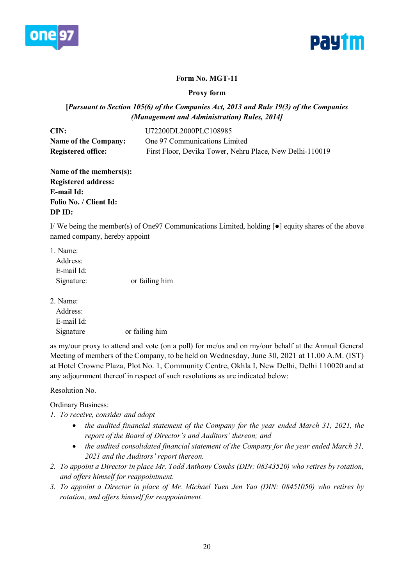



# **Form No. MGT-11**

**Proxy form**

# **[***Pursuant to Section 105(6) of the Companies Act, 2013 and Rule 19(3) of the Companies (Management and Administration) Rules, 2014]*

| CIN:                        | U72200DL2000PLC108985                                    |
|-----------------------------|----------------------------------------------------------|
| <b>Name of the Company:</b> | One 97 Communications Limited                            |
| <b>Registered office:</b>   | First Floor, Devika Tower, Nehru Place, New Delhi-110019 |

**Name of the members(s): Registered address: E-mail Id: Folio No. / Client Id: DP ID:**

I/ We being the member(s) of One97 Communications Limited, holding [●] equity shares of the above named company, hereby appoint

| 1. Name:   |                |
|------------|----------------|
| Address:   |                |
| E-mail Id: |                |
| Signature: | or failing him |

2. Name:

| Address:   |                |
|------------|----------------|
| E-mail Id: |                |
| Signature  | or failing him |

as my/our proxy to attend and vote (on a poll) for me/us and on my/our behalf at the Annual General Meeting of members of the Company, to be held on Wednesday, June 30, 2021 at 11.00 A.M. (IST) at Hotel Crowne Plaza, Plot No. 1, Community Centre, Okhla I, New Delhi, Delhi 110020 and at any adjournment thereof in respect of such resolutions as are indicated below:

Resolution No.

# Ordinary Business:

- *1. To receive, consider and adopt*
	- *the audited financial statement of the Company for the year ended March 31, 2021, the report of the Board of Director's and Auditors' thereon; and*
	- *the audited consolidated financial statement of the Company for the year ended March 31, 2021 and the Auditors' report thereon.*
- *2. To appoint a Director in place Mr. Todd Anthony Combs (DIN: 08343520) who retires by rotation, and offers himself for reappointment.*
- *3. To appoint a Director in place of Mr. Michael Yuen Jen Yao (DIN: 08451050) who retires by rotation, and offers himself for reappointment.*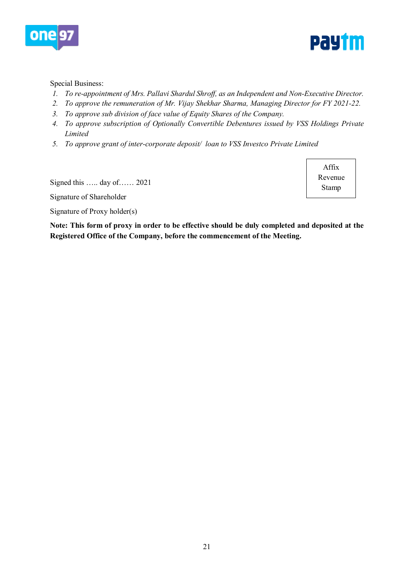



### Special Business:

- *1. To re-appointment of Mrs. Pallavi Shardul Shroff, as an Independent and Non-Executive Director.*
- *2. To approve the remuneration of Mr. Vijay Shekhar Sharma, Managing Director for FY 2021-22.*
- *3. To approve sub division of face value of Equity Shares of the Company.*
- *4. To approve subscription of Optionally Convertible Debentures issued by VSS Holdings Private Limited*
- *5. To approve grant of inter-corporate deposit/ loan to VSS Investco Private Limited*

Signed this ….. day of…… 2021

Signature of Shareholder

Signature of Proxy holder(s)

Affix Revenue Stamp

**Note: This form of proxy in order to be effective should be duly completed and deposited at the Registered Office of the Company, before the commencement of the Meeting.**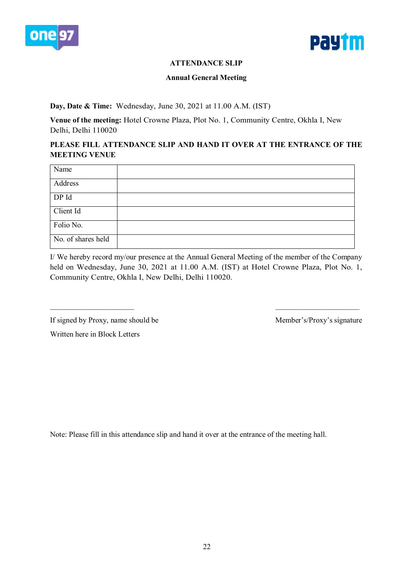



# **ATTENDANCE SLIP**

### **Annual General Meeting**

# **Day, Date & Time:** Wednesday, June 30, 2021 at 11.00 A.M. (IST)

**Venue of the meeting:** Hotel Crowne Plaza, Plot No. 1, Community Centre, Okhla I, New Delhi, Delhi 110020

# **PLEASE FILL ATTENDANCE SLIP AND HAND IT OVER AT THE ENTRANCE OF THE MEETING VENUE**

| Name               |  |
|--------------------|--|
| Address            |  |
| DP Id              |  |
| Client Id          |  |
| Folio No.          |  |
| No. of shares held |  |

I/ We hereby record my/our presence at the Annual General Meeting of the member of the Company held on Wednesday, June 30, 2021 at 11.00 A.M. (IST) at Hotel Crowne Plaza, Plot No. 1, Community Centre, Okhla I, New Delhi, Delhi 110020.

 $\_$ 

If signed by Proxy, name should be Member's/Proxy's signature

Written here in Block Letters

Note: Please fill in this attendance slip and hand it over at the entrance of the meeting hall.